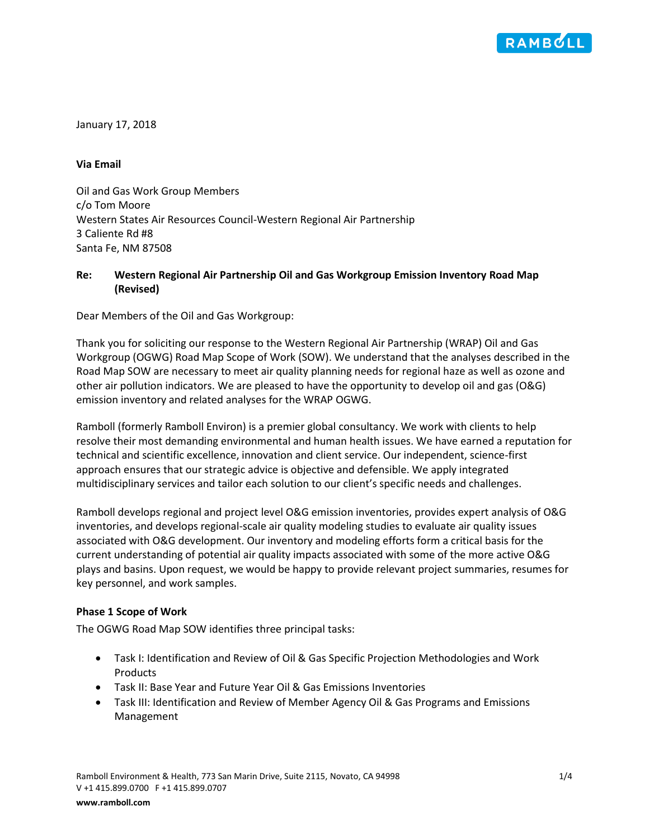

January 17, 2018

## **Via Email**

Oil and Gas Work Group Members c/o Tom Moore Western States Air Resources Council-Western Regional Air Partnership 3 Caliente Rd #8 Santa Fe, NM 87508

## **Re: Western Regional Air Partnership Oil and Gas Workgroup Emission Inventory Road Map (Revised)**

Dear Members of the Oil and Gas Workgroup:

Thank you for soliciting our response to the Western Regional Air Partnership (WRAP) Oil and Gas Workgroup (OGWG) Road Map Scope of Work (SOW). We understand that the analyses described in the Road Map SOW are necessary to meet air quality planning needs for regional haze as well as ozone and other air pollution indicators. We are pleased to have the opportunity to develop oil and gas (O&G) emission inventory and related analyses for the WRAP OGWG.

Ramboll (formerly Ramboll Environ) is a premier global consultancy. We work with clients to help resolve their most demanding environmental and human health issues. We have earned a reputation for technical and scientific excellence, innovation and client service. Our independent, science-first approach ensures that our strategic advice is objective and defensible. We apply integrated multidisciplinary services and tailor each solution to our client's specific needs and challenges.

Ramboll develops regional and project level O&G emission inventories, provides expert analysis of O&G inventories, and develops regional-scale air quality modeling studies to evaluate air quality issues associated with O&G development. Our inventory and modeling efforts form a critical basis for the current understanding of potential air quality impacts associated with some of the more active O&G plays and basins. Upon request, we would be happy to provide relevant project summaries, resumes for key personnel, and work samples.

## **Phase 1 Scope of Work**

The OGWG Road Map SOW identifies three principal tasks:

- Task I: Identification and Review of Oil & Gas Specific Projection Methodologies and Work **Products**
- Task II: Base Year and Future Year Oil & Gas Emissions Inventories
- Task III: Identification and Review of Member Agency Oil & Gas Programs and Emissions Management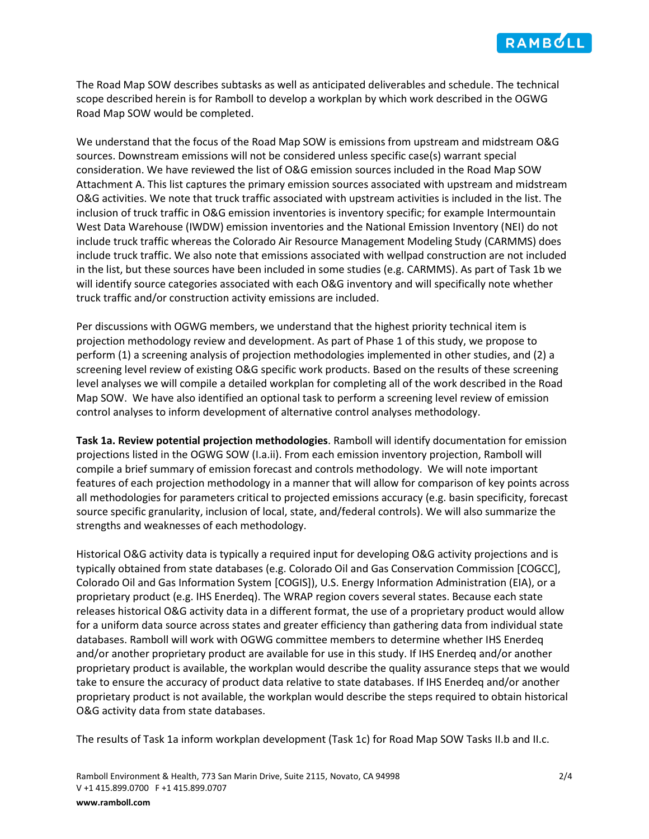The Road Map SOW describes subtasks as well as anticipated deliverables and schedule. The technical scope described herein is for Ramboll to develop a workplan by which work described in the OGWG Road Map SOW would be completed.

We understand that the focus of the Road Map SOW is emissions from upstream and midstream O&G sources. Downstream emissions will not be considered unless specific case(s) warrant special consideration. We have reviewed the list of O&G emission sources included in the Road Map SOW Attachment A. This list captures the primary emission sources associated with upstream and midstream O&G activities. We note that truck traffic associated with upstream activities is included in the list. The inclusion of truck traffic in O&G emission inventories is inventory specific; for example Intermountain West Data Warehouse (IWDW) emission inventories and the National Emission Inventory (NEI) do not include truck traffic whereas the Colorado Air Resource Management Modeling Study (CARMMS) does include truck traffic. We also note that emissions associated with wellpad construction are not included in the list, but these sources have been included in some studies (e.g. CARMMS). As part of Task 1b we will identify source categories associated with each O&G inventory and will specifically note whether truck traffic and/or construction activity emissions are included.

Per discussions with OGWG members, we understand that the highest priority technical item is projection methodology review and development. As part of Phase 1 of this study, we propose to perform (1) a screening analysis of projection methodologies implemented in other studies, and (2) a screening level review of existing O&G specific work products. Based on the results of these screening level analyses we will compile a detailed workplan for completing all of the work described in the Road Map SOW. We have also identified an optional task to perform a screening level review of emission control analyses to inform development of alternative control analyses methodology.

**Task 1a. Review potential projection methodologies**. Ramboll will identify documentation for emission projections listed in the OGWG SOW (I.a.ii). From each emission inventory projection, Ramboll will compile a brief summary of emission forecast and controls methodology. We will note important features of each projection methodology in a manner that will allow for comparison of key points across all methodologies for parameters critical to projected emissions accuracy (e.g. basin specificity, forecast source specific granularity, inclusion of local, state, and/federal controls). We will also summarize the strengths and weaknesses of each methodology.

Historical O&G activity data is typically a required input for developing O&G activity projections and is typically obtained from state databases (e.g. Colorado Oil and Gas Conservation Commission [COGCC], Colorado Oil and Gas Information System [COGIS]), U.S. Energy Information Administration (EIA), or a proprietary product (e.g. IHS Enerdeq). The WRAP region covers several states. Because each state releases historical O&G activity data in a different format, the use of a proprietary product would allow for a uniform data source across states and greater efficiency than gathering data from individual state databases. Ramboll will work with OGWG committee members to determine whether IHS Enerdeq and/or another proprietary product are available for use in this study. If IHS Enerdeq and/or another proprietary product is available, the workplan would describe the quality assurance steps that we would take to ensure the accuracy of product data relative to state databases. If IHS Enerdeq and/or another proprietary product is not available, the workplan would describe the steps required to obtain historical O&G activity data from state databases.

The results of Task 1a inform workplan development (Task 1c) for Road Map SOW Tasks II.b and II.c.